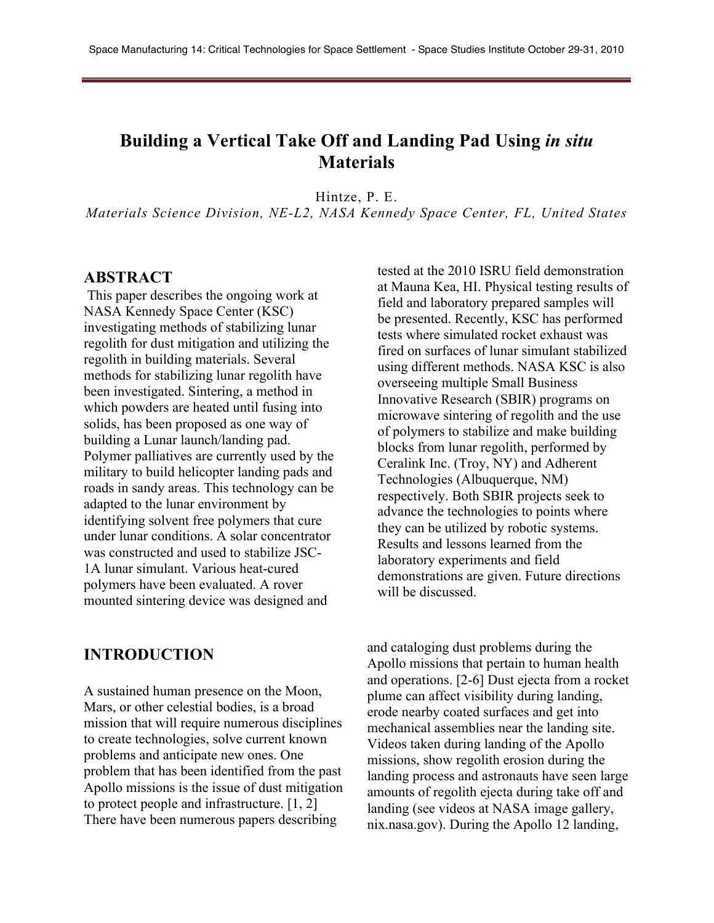# **Building a Vertical Take Off and Landing Pad Using** *in situ*  **Materials**

Hintze, P. E.

*Materials Science Division, NE-L2, NASA Kennedy Space Center, FL, United States*

#### **ABSTRACT**

This paper describes the ongoing work at NASA Kennedy Space Center (KSC) investigating methods of stabilizing lunar regolith for dust mitigation and utilizing the regolith in building materials. Several methods for stabilizing lunar regolith have been investigated. Sintering, a method in which powders are heated until fusing into solids, has been proposed as one way of building a Lunar launch/landing pad. Polymer palliatives are currently used by the military to build helicopter landing pads and roads in sandy areas. This technology can be adapted to the lunar environment by identifying solvent free polymers that cure under lunar conditions. A solar concentrator was constructed and used to stabilize JSC-1A lunar simulant. Various heat-cured polymers have been evaluated. A rover mounted sintering device was designed and

**INTRODUCTION**

A sustained human presence on the Moon, Mars, or other celestial bodies, is a broad mission that will require numerous disciplines to create technologies, solve current known problems and anticipate new ones. One problem that has been identified from the past Apollo missions is the issue of dust mitigation to protect people and infrastructure. [1, 2] There have been numerous papers describing

tested at the 2010 ISRU field demonstration at Mauna Kea, HI. Physical testing results of field and laboratory prepared samples will be presented. Recently, KSC has performed tests where simulated rocket exhaust was fired on surfaces of lunar simulant stabilized using different methods. NASA KSC is also overseeing multiple Small Business Innovative Research (SBIR) programs on microwave sintering of regolith and the use of polymers to stabilize and make building blocks from lunar regolith, performed by Ceralink Inc. (Troy, NY) and Adherent Technologies (Albuquerque, NM) respectively. Both SBIR projects seek to advance the technologies to points where they can be utilized by robotic systems. Results and lessons learned from the laboratory experiments and field demonstrations are given. Future directions will be discussed.

and cataloging dust problems during the Apollo missions that pertain to human health and operations. [2-6] Dust ejecta from a rocket plume can affect visibility during landing, erode nearby coated surfaces and get into mechanical assemblies near the landing site. Videos taken during landing of the Apollo missions, show regolith erosion during the landing process and astronauts have seen large amounts of regolith ejecta during take off and landing (see videos at NASA image gallery, nix.nasa.gov). During the Apollo 12 landing,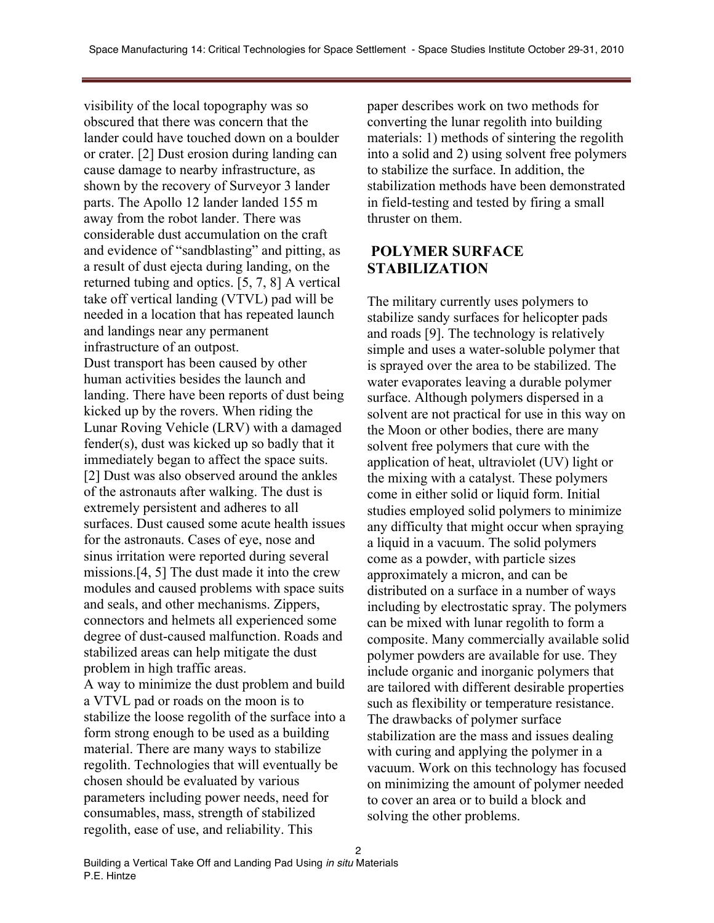visibility of the local topography was so obscured that there was concern that the lander could have touched down on a boulder or crater. [2] Dust erosion during landing can cause damage to nearby infrastructure, as shown by the recovery of Surveyor 3 lander parts. The Apollo 12 lander landed 155 m away from the robot lander. There was considerable dust accumulation on the craft and evidence of "sandblasting" and pitting, as a result of dust ejecta during landing, on the returned tubing and optics. [5, 7, 8] A vertical take off vertical landing (VTVL) pad will be needed in a location that has repeated launch and landings near any permanent infrastructure of an outpost. Dust transport has been caused by other human activities besides the launch and landing. There have been reports of dust being kicked up by the rovers. When riding the Lunar Roving Vehicle (LRV) with a damaged fender(s), dust was kicked up so badly that it immediately began to affect the space suits. [2] Dust was also observed around the ankles of the astronauts after walking. The dust is extremely persistent and adheres to all surfaces. Dust caused some acute health issues for the astronauts. Cases of eye, nose and sinus irritation were reported during several missions.[4, 5] The dust made it into the crew modules and caused problems with space suits and seals, and other mechanisms. Zippers, connectors and helmets all experienced some degree of dust-caused malfunction. Roads and stabilized areas can help mitigate the dust problem in high traffic areas. A way to minimize the dust problem and build a VTVL pad or roads on the moon is to stabilize the loose regolith of the surface into a form strong enough to be used as a building material. There are many ways to stabilize regolith. Technologies that will eventually be chosen should be evaluated by various parameters including power needs, need for consumables, mass, strength of stabilized regolith, ease of use, and reliability. This

paper describes work on two methods for converting the lunar regolith into building materials: 1) methods of sintering the regolith into a solid and 2) using solvent free polymers to stabilize the surface. In addition, the stabilization methods have been demonstrated in field-testing and tested by firing a small thruster on them.

## **POLYMER SURFACE STABILIZATION**

The military currently uses polymers to stabilize sandy surfaces for helicopter pads and roads [9]. The technology is relatively simple and uses a water-soluble polymer that is sprayed over the area to be stabilized. The water evaporates leaving a durable polymer surface. Although polymers dispersed in a solvent are not practical for use in this way on the Moon or other bodies, there are many solvent free polymers that cure with the application of heat, ultraviolet (UV) light or the mixing with a catalyst. These polymers come in either solid or liquid form. Initial studies employed solid polymers to minimize any difficulty that might occur when spraying a liquid in a vacuum. The solid polymers come as a powder, with particle sizes approximately a micron, and can be distributed on a surface in a number of ways including by electrostatic spray. The polymers can be mixed with lunar regolith to form a composite. Many commercially available solid polymer powders are available for use. They include organic and inorganic polymers that are tailored with different desirable properties such as flexibility or temperature resistance. The drawbacks of polymer surface stabilization are the mass and issues dealing with curing and applying the polymer in a vacuum. Work on this technology has focused on minimizing the amount of polymer needed to cover an area or to build a block and solving the other problems.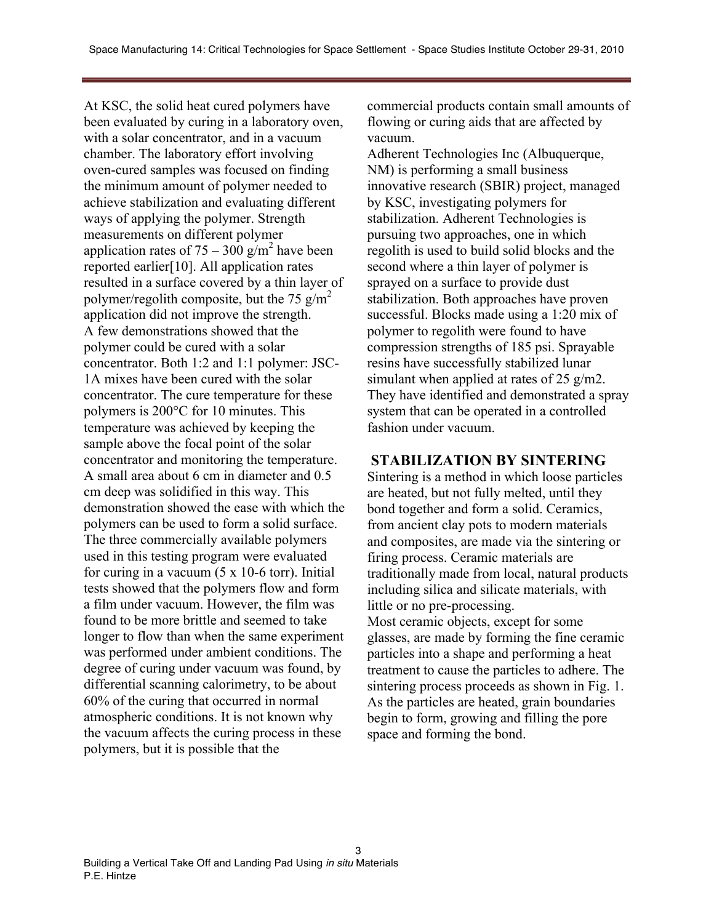At KSC, the solid heat cured polymers have been evaluated by curing in a laboratory oven, with a solar concentrator, and in a vacuum chamber. The laboratory effort involving oven-cured samples was focused on finding the minimum amount of polymer needed to achieve stabilization and evaluating different ways of applying the polymer. Strength measurements on different polymer application rates of  $75 - 300$  g/m<sup>2</sup> have been reported earlier[10]. All application rates resulted in a surface covered by a thin layer of polymer/regolith composite, but the 75 g/m<sup>2</sup> application did not improve the strength. A few demonstrations showed that the polymer could be cured with a solar concentrator. Both 1:2 and 1:1 polymer: JSC-1A mixes have been cured with the solar concentrator. The cure temperature for these polymers is 200°C for 10 minutes. This temperature was achieved by keeping the sample above the focal point of the solar concentrator and monitoring the temperature. A small area about 6 cm in diameter and 0.5 cm deep was solidified in this way. This demonstration showed the ease with which the polymers can be used to form a solid surface. The three commercially available polymers used in this testing program were evaluated for curing in a vacuum  $(5 \times 10<sup>-6</sup>$  torr). Initial tests showed that the polymers flow and form a film under vacuum. However, the film was found to be more brittle and seemed to take longer to flow than when the same experiment was performed under ambient conditions. The degree of curing under vacuum was found, by differential scanning calorimetry, to be about 60% of the curing that occurred in normal atmospheric conditions. It is not known why the vacuum affects the curing process in these polymers, but it is possible that the

commercial products contain small amounts of flowing or curing aids that are affected by vacuum.

Adherent Technologies Inc (Albuquerque, NM) is performing a small business innovative research (SBIR) project, managed by KSC, investigating polymers for stabilization. Adherent Technologies is pursuing two approaches, one in which regolith is used to build solid blocks and the second where a thin layer of polymer is sprayed on a surface to provide dust stabilization. Both approaches have proven successful. Blocks made using a 1:20 mix of polymer to regolith were found to have compression strengths of 185 psi. Sprayable resins have successfully stabilized lunar simulant when applied at rates of 25 g/m2. They have identified and demonstrated a spray system that can be operated in a controlled fashion under vacuum.

#### **STABILIZATION BY SINTERING**

Sintering is a method in which loose particles are heated, but not fully melted, until they bond together and form a solid. Ceramics, from ancient clay pots to modern materials and composites, are made via the sintering or firing process. Ceramic materials are traditionally made from local, natural products including silica and silicate materials, with little or no pre-processing. Most ceramic objects, except for some glasses, are made by forming the fine ceramic particles into a shape and performing a heat treatment to cause the particles to adhere. The sintering process proceeds as shown in Fig. 1. As the particles are heated, grain boundaries begin to form, growing and filling the pore space and forming the bond.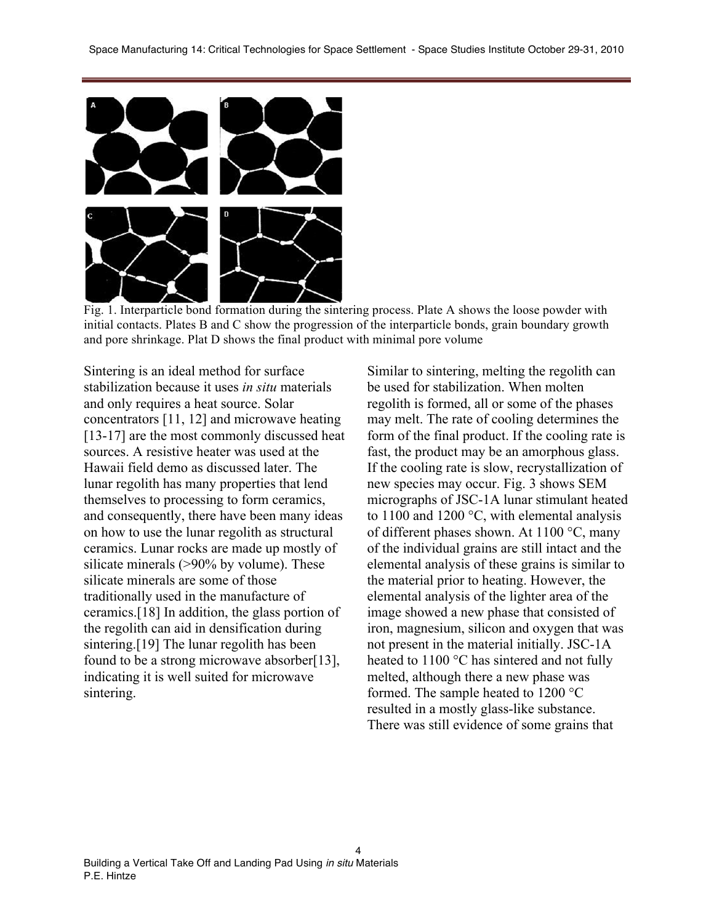

Fig. 1. Interparticle bond formation during the sintering process. Plate A shows the loose powder with initial contacts. Plates B and C show the progression of the interparticle bonds, grain boundary growth and pore shrinkage. Plat D shows the final product with minimal pore volume

4

Sintering is an ideal method for surface stabilization because it uses *in situ* materials and only requires a heat source. Solar concentrators [11, 12] and microwave heating [13-17] are the most commonly discussed heat sources. A resistive heater was used at the Hawaii field demo as discussed later. The lunar regolith has many properties that lend themselves to processing to form ceramics, and consequently, there have been many ideas on how to use the lunar regolith as structural ceramics. Lunar rocks are made up mostly of silicate minerals (>90% by volume). These silicate minerals are some of those traditionally used in the manufacture of ceramics.[18] In addition, the glass portion of the regolith can aid in densification during sintering.[19] The lunar regolith has been found to be a strong microwave absorber[13], indicating it is well suited for microwave sintering.

Similar to sintering, melting the regolith can be used for stabilization. When molten regolith is formed, all or some of the phases may melt. The rate of cooling determines the form of the final product. If the cooling rate is fast, the product may be an amorphous glass. If the cooling rate is slow, recrystallization of new species may occur. Fig. 3 shows SEM micrographs of JSC-1A lunar stimulant heated to 1100 and 1200 °C, with elemental analysis of different phases shown. At 1100 °C, many of the individual grains are still intact and the elemental analysis of these grains is similar to the material prior to heating. However, the elemental analysis of the lighter area of the image showed a new phase that consisted of iron, magnesium, silicon and oxygen that was not present in the material initially. JSC-1A heated to 1100 °C has sintered and not fully melted, although there a new phase was formed. The sample heated to 1200 °C resulted in a mostly glass-like substance. There was still evidence of some grains that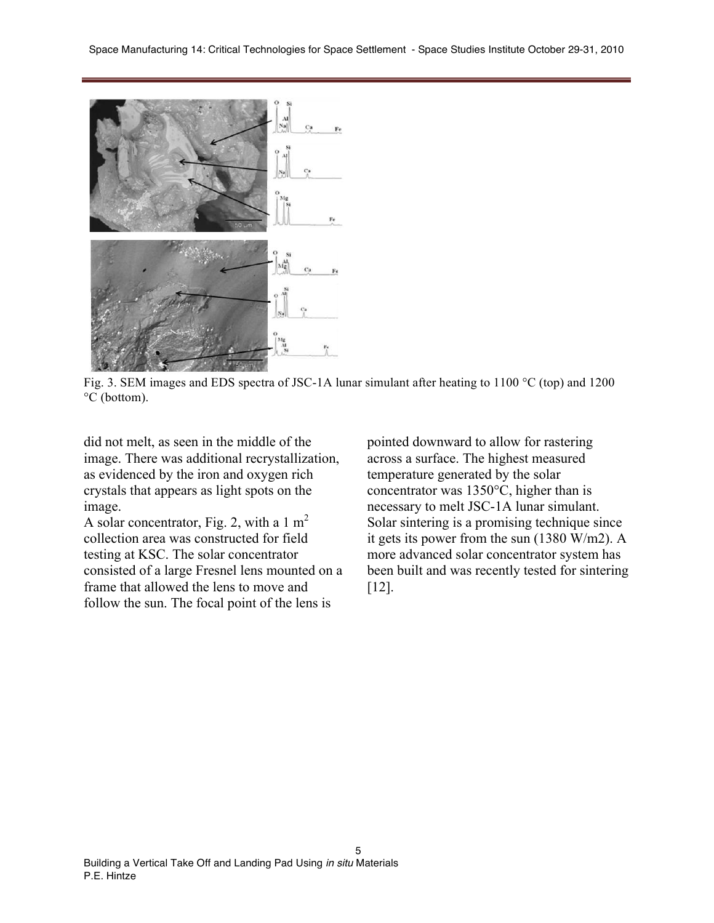

Fig. 3. SEM images and EDS spectra of JSC-1A lunar simulant after heating to 1100 °C (top) and 1200 °C (bottom).

5

did not melt, as seen in the middle of the image. There was additional recrystallization, as evidenced by the iron and oxygen rich crystals that appears as light spots on the image.

A solar concentrator, Fig. 2, with a 1  $m<sup>2</sup>$ collection area was constructed for field testing at KSC. The solar concentrator consisted of a large Fresnel lens mounted on a frame that allowed the lens to move and follow the sun. The focal point of the lens is

pointed downward to allow for rastering across a surface. The highest measured temperature generated by the solar concentrator was 1350°C, higher than is necessary to melt JSC-1A lunar simulant. Solar sintering is a promising technique since it gets its power from the sun (1380 W/m2). A more advanced solar concentrator system has been built and was recently tested for sintering [12].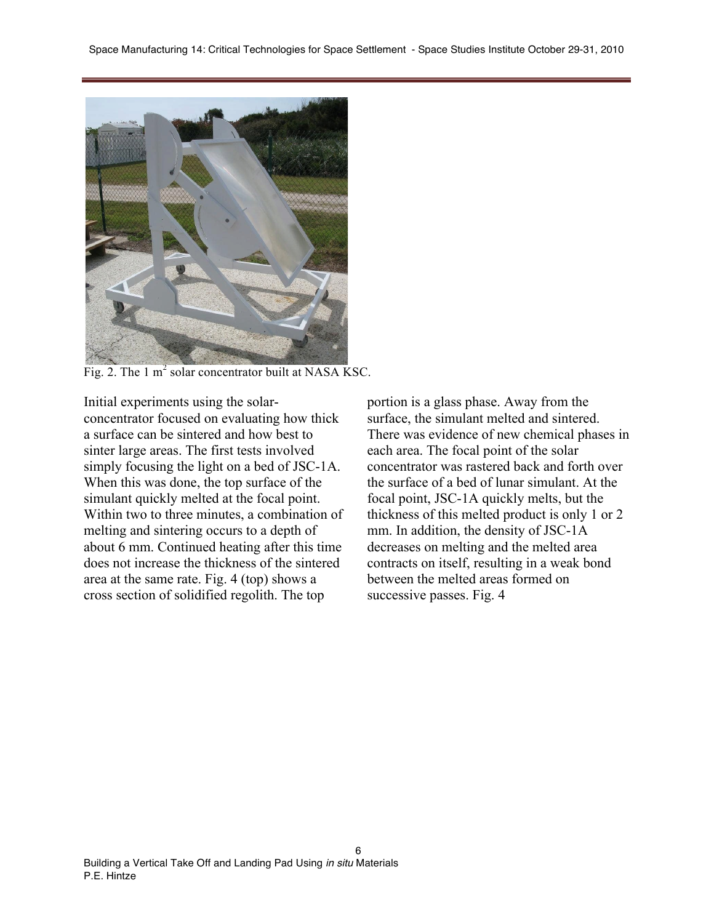

Fig. 2. The 1  $m<sup>2</sup>$  solar concentrator built at NASA KSC.

Initial experiments using the solarconcentrator focused on evaluating how thick a surface can be sintered and how best to sinter large areas. The first tests involved simply focusing the light on a bed of JSC-1A. When this was done, the top surface of the simulant quickly melted at the focal point. Within two to three minutes, a combination of melting and sintering occurs to a depth of about 6 mm. Continued heating after this time does not increase the thickness of the sintered area at the same rate. Fig. 4 (top) shows a cross section of solidified regolith. The top

portion is a glass phase. Away from the surface, the simulant melted and sintered. There was evidence of new chemical phases in each area. The focal point of the solar concentrator was rastered back and forth over the surface of a bed of lunar simulant. At the focal point, JSC-1A quickly melts, but the thickness of this melted product is only 1 or 2 mm. In addition, the density of JSC-1A decreases on melting and the melted area contracts on itself, resulting in a weak bond between the melted areas formed on successive passes. Fig. 4

6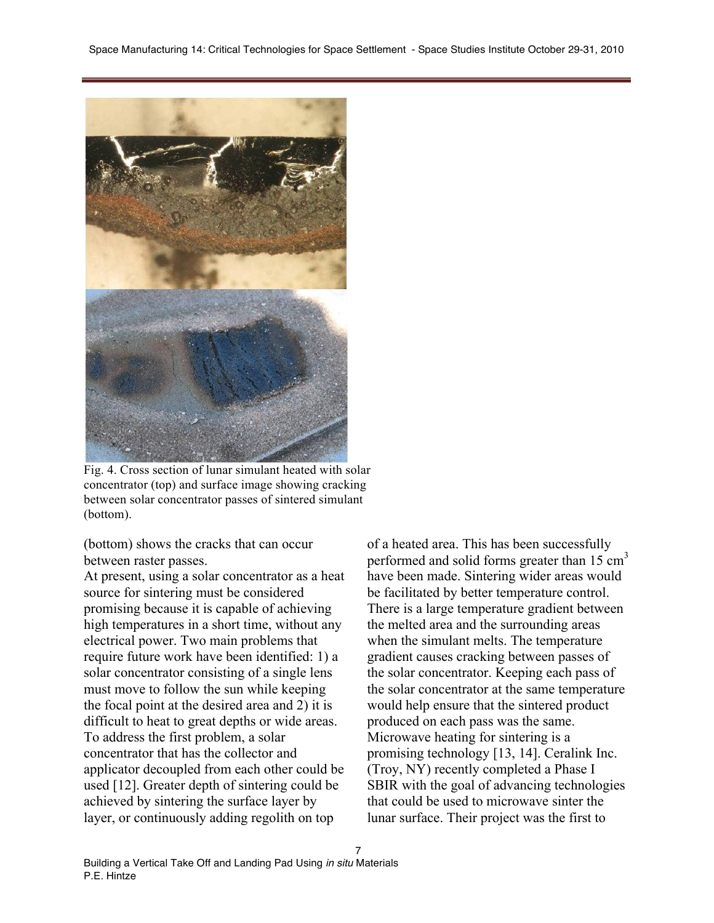

Fig. 4. Cross section of lunar simulant heated with solar concentrator (top) and surface image showing cracking between solar concentrator passes of sintered simulant (bottom).

(bottom) shows the cracks that can occur between raster passes.

At present, using a solar concentrator as a heat source for sintering must be considered promising because it is capable of achieving high temperatures in a short time, without any electrical power. Two main problems that require future work have been identified: 1) a solar concentrator consisting of a single lens must move to follow the sun while keeping the focal point at the desired area and 2) it is difficult to heat to great depths or wide areas. To address the first problem, a solar concentrator that has the collector and applicator decoupled from each other could be used [12]. Greater depth of sintering could be achieved by sintering the surface layer by layer, or continuously adding regolith on top

of a heated area. This has been successfully performed and solid forms greater than  $15 \text{ cm}^3$ have been made. Sintering wider areas would be facilitated by better temperature control. There is a large temperature gradient between the melted area and the surrounding areas when the simulant melts. The temperature gradient causes cracking between passes of the solar concentrator. Keeping each pass of the solar concentrator at the same temperature would help ensure that the sintered product produced on each pass was the same. Microwave heating for sintering is a promising technology [13, 14]. Ceralink Inc. (Troy, NY) recently completed a Phase I SBIR with the goal of advancing technologies that could be used to microwave sinter the lunar surface. Their project was the first to

7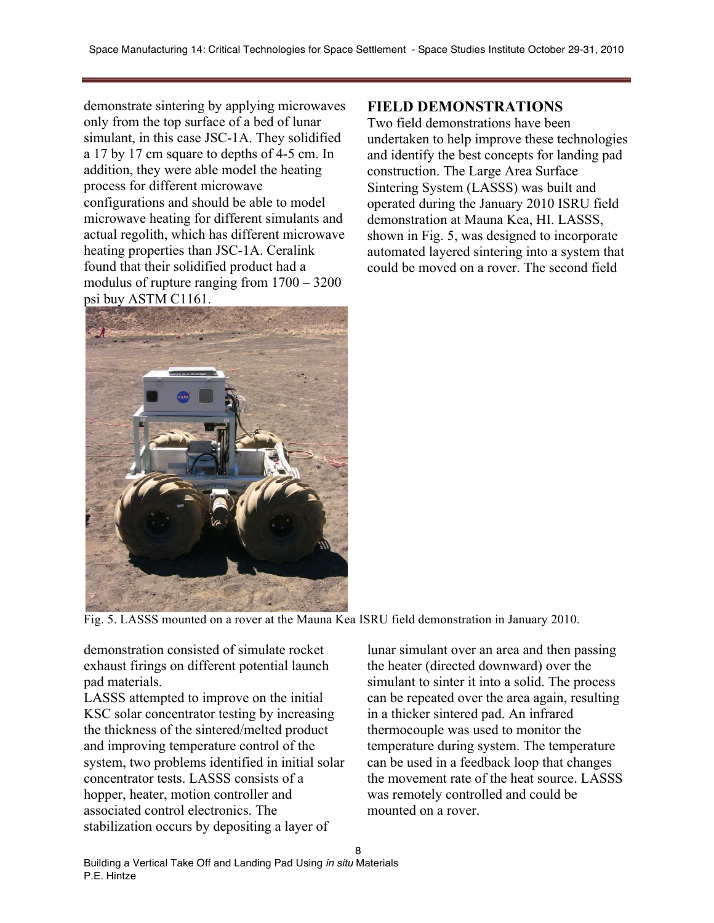demonstrate sintering by applying microwaves only from the top surface of a bed of lunar simulant, in this case JSC-1A. They solidified a 17 by 17 cm square to depths of 4-5 cm. In addition, they were able model the heating process for different microwave configurations and should be able to model microwave heating for different simulants and actual regolith, which has different microwave heating properties than JSC-1A. Ceralink found that their solidified product had a modulus of rupture ranging from 1700 – 3200 psi buy ASTM C1161.



### **FIELD DEMONSTRATIONS**

Two field demonstrations have been undertaken to help improve these technologies and identify the best concepts for landing pad construction. The Large Area Surface Sintering System (LASSS) was built and operated during the January 2010 ISRU field demonstration at Mauna Kea, HI. LASSS, shown in Fig. 5, was designed to incorporate automated layered sintering into a system that could be moved on a rover. The second field

Fig. 5. LASSS mounted on a rover at the Mauna Kea ISRU field demonstration in January 2010.

demonstration consisted of simulate rocket exhaust firings on different potential launch pad materials.

LASSS attempted to improve on the initial KSC solar concentrator testing by increasing the thickness of the sintered/melted product and improving temperature control of the system, two problems identified in initial solar concentrator tests. LASSS consists of a hopper, heater, motion controller and associated control electronics. The stabilization occurs by depositing a layer of

lunar simulant over an area and then passing the heater (directed downward) over the simulant to sinter it into a solid. The process can be repeated over the area again, resulting in a thicker sintered pad. An infrared thermocouple was used to monitor the temperature during system. The temperature can be used in a feedback loop that changes the movement rate of the heat source. LASSS was remotely controlled and could be mounted on a rover.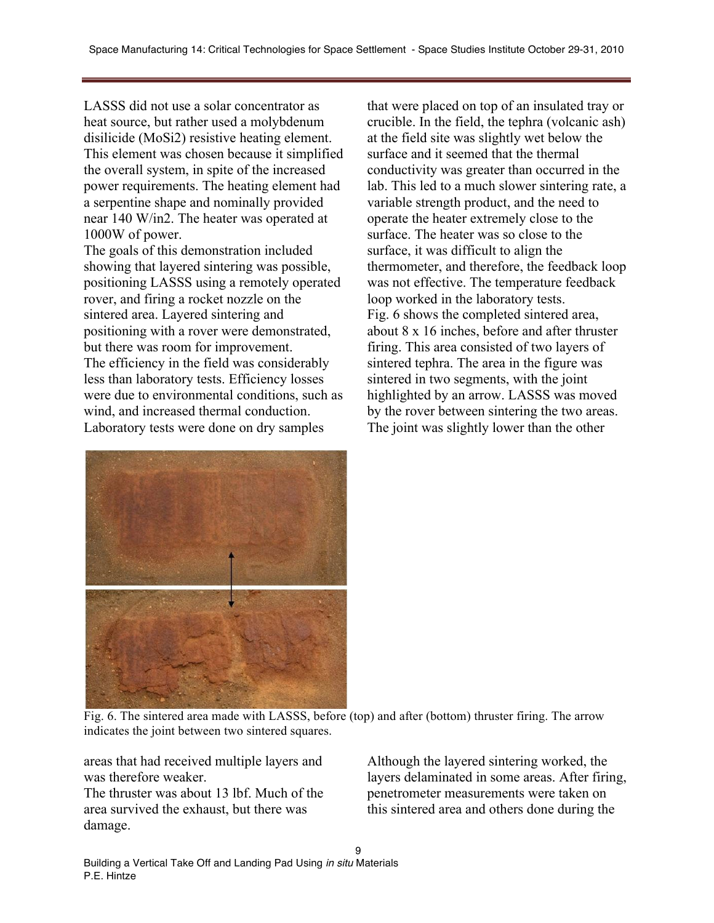LASSS did not use a solar concentrator as heat source, but rather used a molybdenum disilicide (MoSi2) resistive heating element. This element was chosen because it simplified the overall system, in spite of the increased power requirements. The heating element had a serpentine shape and nominally provided near 140 W/in2. The heater was operated at 1000W of power.

The goals of this demonstration included showing that layered sintering was possible, positioning LASSS using a remotely operated rover, and firing a rocket nozzle on the sintered area. Layered sintering and positioning with a rover were demonstrated, but there was room for improvement. The efficiency in the field was considerably less than laboratory tests. Efficiency losses were due to environmental conditions, such as wind, and increased thermal conduction. Laboratory tests were done on dry samples

that were placed on top of an insulated tray or crucible. In the field, the tephra (volcanic ash) at the field site was slightly wet below the surface and it seemed that the thermal conductivity was greater than occurred in the lab. This led to a much slower sintering rate, a variable strength product, and the need to operate the heater extremely close to the surface. The heater was so close to the surface, it was difficult to align the thermometer, and therefore, the feedback loop was not effective. The temperature feedback loop worked in the laboratory tests. Fig. 6 shows the completed sintered area, about 8 x 16 inches, before and after thruster firing. This area consisted of two layers of sintered tephra. The area in the figure was sintered in two segments, with the joint highlighted by an arrow. LASSS was moved by the rover between sintering the two areas. The joint was slightly lower than the other



Fig. 6. The sintered area made with LASSS, before (top) and after (bottom) thruster firing. The arrow indicates the joint between two sintered squares.

areas that had received multiple layers and was therefore weaker.

The thruster was about 13 lbf. Much of the area survived the exhaust, but there was damage.

Although the layered sintering worked, the layers delaminated in some areas. After firing, penetrometer measurements were taken on this sintered area and others done during the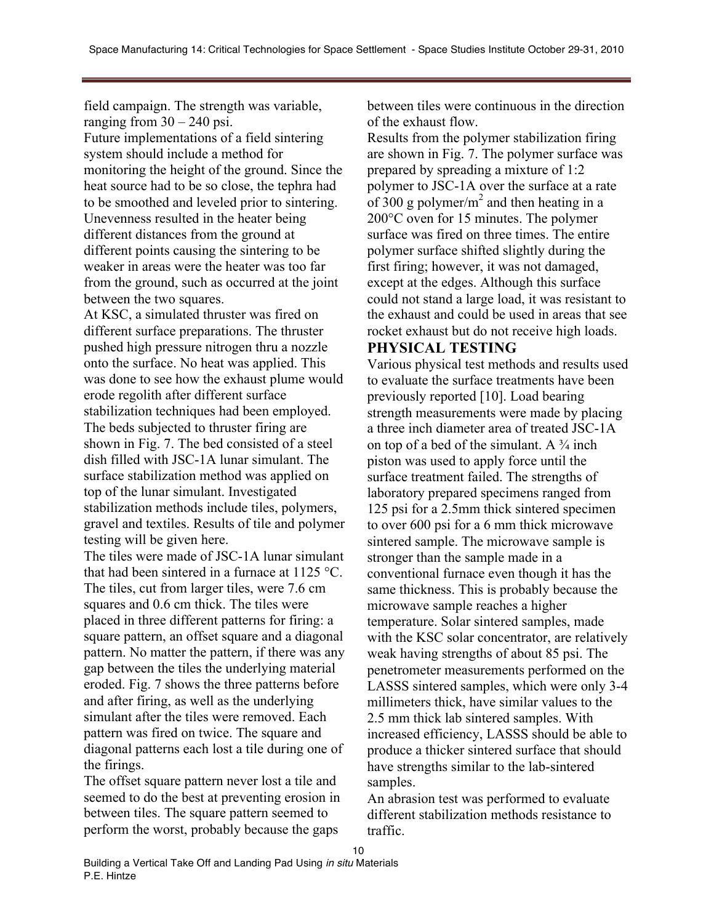field campaign. The strength was variable, ranging from  $30 - 240$  psi. Future implementations of a field sintering system should include a method for monitoring the height of the ground. Since the heat source had to be so close, the tephra had to be smoothed and leveled prior to sintering. Unevenness resulted in the heater being different distances from the ground at different points causing the sintering to be weaker in areas were the heater was too far from the ground, such as occurred at the joint between the two squares.

At KSC, a simulated thruster was fired on different surface preparations. The thruster pushed high pressure nitrogen thru a nozzle onto the surface. No heat was applied. This was done to see how the exhaust plume would erode regolith after different surface stabilization techniques had been employed. The beds subjected to thruster firing are shown in Fig. 7. The bed consisted of a steel dish filled with JSC-1A lunar simulant. The surface stabilization method was applied on top of the lunar simulant. Investigated stabilization methods include tiles, polymers, gravel and textiles. Results of tile and polymer testing will be given here.

The tiles were made of JSC-1A lunar simulant that had been sintered in a furnace at 1125 °C. The tiles, cut from larger tiles, were 7.6 cm squares and 0.6 cm thick. The tiles were placed in three different patterns for firing: a square pattern, an offset square and a diagonal pattern. No matter the pattern, if there was any gap between the tiles the underlying material eroded. Fig. 7 shows the three patterns before and after firing, as well as the underlying simulant after the tiles were removed. Each pattern was fired on twice. The square and diagonal patterns each lost a tile during one of the firings.

The offset square pattern never lost a tile and seemed to do the best at preventing erosion in between tiles. The square pattern seemed to perform the worst, probably because the gaps

between tiles were continuous in the direction of the exhaust flow.

Results from the polymer stabilization firing are shown in Fig. 7. The polymer surface was prepared by spreading a mixture of 1:2 polymer to JSC-1A over the surface at a rate of 300 g polymer/ $m<sup>2</sup>$  and then heating in a 200°C oven for 15 minutes. The polymer surface was fired on three times. The entire polymer surface shifted slightly during the first firing; however, it was not damaged, except at the edges. Although this surface could not stand a large load, it was resistant to the exhaust and could be used in areas that see rocket exhaust but do not receive high loads.

### **PHYSICAL TESTING**

Various physical test methods and results used to evaluate the surface treatments have been previously reported [10]. Load bearing strength measurements were made by placing a three inch diameter area of treated JSC-1A on top of a bed of the simulant. A  $\frac{3}{4}$  inch piston was used to apply force until the surface treatment failed. The strengths of laboratory prepared specimens ranged from 125 psi for a 2.5mm thick sintered specimen to over 600 psi for a 6 mm thick microwave sintered sample. The microwave sample is stronger than the sample made in a conventional furnace even though it has the same thickness. This is probably because the microwave sample reaches a higher temperature. Solar sintered samples, made with the KSC solar concentrator, are relatively weak having strengths of about 85 psi. The penetrometer measurements performed on the LASSS sintered samples, which were only 3-4 millimeters thick, have similar values to the 2.5 mm thick lab sintered samples. With increased efficiency, LASSS should be able to produce a thicker sintered surface that should have strengths similar to the lab-sintered samples.

An abrasion test was performed to evaluate different stabilization methods resistance to traffic.

10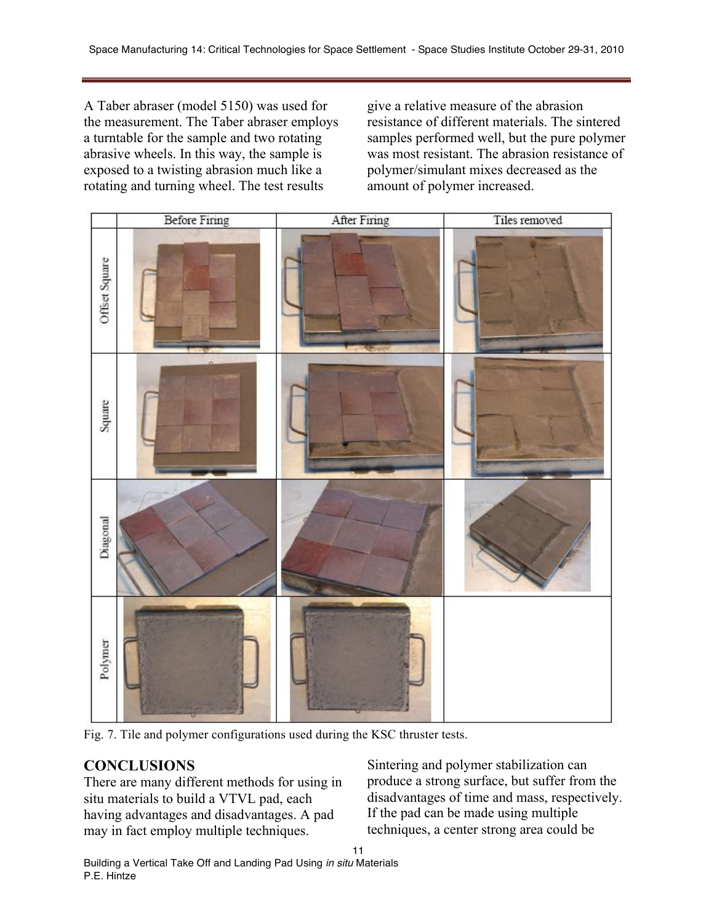A Taber abraser (model 5150) was used for the measurement. The Taber abraser employs a turntable for the sample and two rotating abrasive wheels. In this way, the sample is exposed to a twisting abrasion much like a rotating and turning wheel. The test results

give a relative measure of the abrasion resistance of different materials. The sintered samples performed well, but the pure polymer was most resistant. The abrasion resistance of polymer/simulant mixes decreased as the amount of polymer increased.



Fig. 7. Tile and polymer configurations used during the KSC thruster tests.

# **CONCLUSIONS**

There are many different methods for using in situ materials to build a VTVL pad, each having advantages and disadvantages. A pad may in fact employ multiple techniques.

Sintering and polymer stabilization can produce a strong surface, but suffer from the disadvantages of time and mass, respectively. If the pad can be made using multiple techniques, a center strong area could be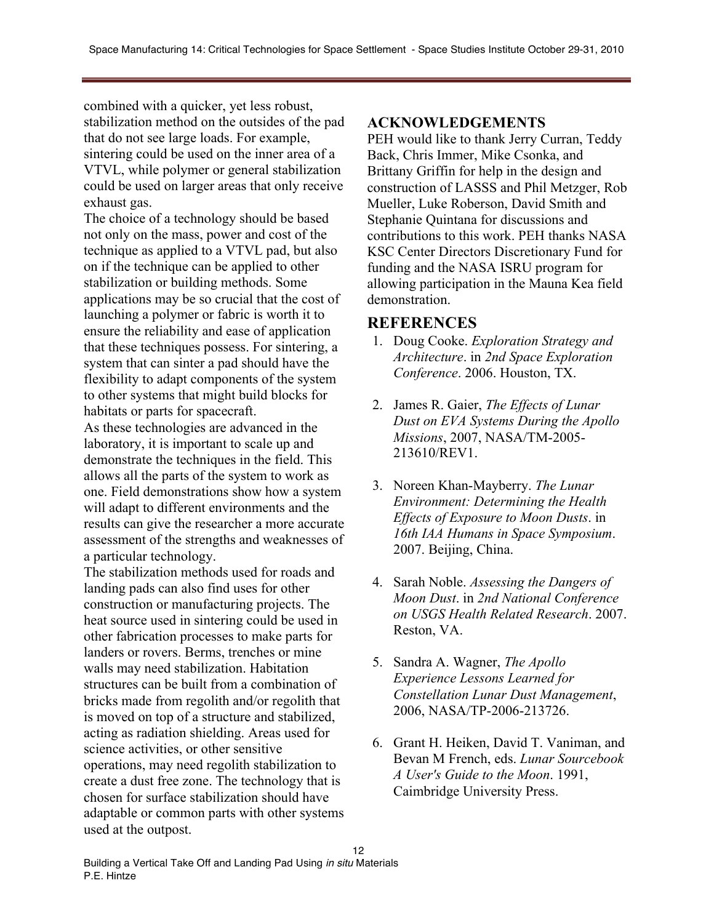combined with a quicker, yet less robust, stabilization method on the outsides of the pad that do not see large loads. For example, sintering could be used on the inner area of a VTVL, while polymer or general stabilization could be used on larger areas that only receive exhaust gas.

The choice of a technology should be based not only on the mass, power and cost of the technique as applied to a VTVL pad, but also on if the technique can be applied to other stabilization or building methods. Some applications may be so crucial that the cost of launching a polymer or fabric is worth it to ensure the reliability and ease of application that these techniques possess. For sintering, a system that can sinter a pad should have the flexibility to adapt components of the system to other systems that might build blocks for habitats or parts for spacecraft.

As these technologies are advanced in the laboratory, it is important to scale up and demonstrate the techniques in the field. This allows all the parts of the system to work as one. Field demonstrations show how a system will adapt to different environments and the results can give the researcher a more accurate assessment of the strengths and weaknesses of a particular technology.

The stabilization methods used for roads and landing pads can also find uses for other construction or manufacturing projects. The heat source used in sintering could be used in other fabrication processes to make parts for landers or rovers. Berms, trenches or mine walls may need stabilization. Habitation structures can be built from a combination of bricks made from regolith and/or regolith that is moved on top of a structure and stabilized, acting as radiation shielding. Areas used for science activities, or other sensitive operations, may need regolith stabilization to create a dust free zone. The technology that is chosen for surface stabilization should have adaptable or common parts with other systems used at the outpost.

### **ACKNOWLEDGEMENTS**

PEH would like to thank Jerry Curran, Teddy Back, Chris Immer, Mike Csonka, and Brittany Griffin for help in the design and construction of LASSS and Phil Metzger, Rob Mueller, Luke Roberson, David Smith and Stephanie Quintana for discussions and contributions to this work. PEH thanks NASA KSC Center Directors Discretionary Fund for funding and the NASA ISRU program for allowing participation in the Mauna Kea field demonstration.

#### **REFERENCES**

- 1. Doug Cooke. *Exploration Strategy and Architecture*. in *2nd Space Exploration Conference*. 2006. Houston, TX.
- 2. James R. Gaier, *The Effects of Lunar Dust on EVA Systems During the Apollo Missions*, 2007, NASA/TM-2005- 213610/REV1.
- 3. Noreen Khan-Mayberry. *The Lunar Environment: Determining the Health Effects of Exposure to Moon Dusts*. in *16th IAA Humans in Space Symposium*. 2007. Beijing, China.
- 4. Sarah Noble. *Assessing the Dangers of Moon Dust*. in *2nd National Conference on USGS Health Related Research*. 2007. Reston, VA.
- 5. Sandra A. Wagner, *The Apollo Experience Lessons Learned for Constellation Lunar Dust Management*, 2006, NASA/TP-2006-213726.
- 6. Grant H. Heiken, David T. Vaniman, and Bevan M French, eds. *Lunar Sourcebook A User's Guide to the Moon*. 1991, Caimbridge University Press.